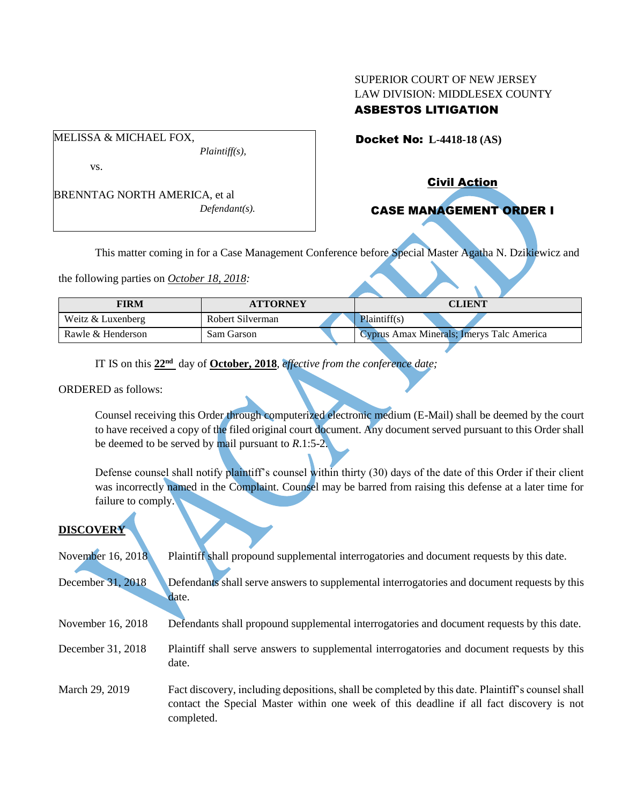# SUPERIOR COURT OF NEW JERSEY LAW DIVISION: MIDDLESEX COUNTY ASBESTOS LITIGATION

Docket No: **L-4418-18 (AS)** 

vs.

MELISSA & MICHAEL FOX,

BRENNTAG NORTH AMERICA, et al *Defendant(s).*

*Plaintiff(s),*

Civil Action

# CASE MANAGEMENT ORDER I

This matter coming in for a Case Management Conference before Special Master Agatha N. Dzikiewicz and

the following parties on *October 18, 2018:*

| FIRM              | <b>ATTORNEY</b>  | CLIENT                                    |
|-------------------|------------------|-------------------------------------------|
| Weitz & Luxenberg | Robert Silverman | Plaintiff(s)                              |
| Rawle & Henderson | Sam Garson       | Cyprus Amax Minerals; Imerys Talc America |

IT IS on this **22nd** day of **October, 2018**, *effective from the conference date;*

### ORDERED as follows:

Counsel receiving this Order through computerized electronic medium (E-Mail) shall be deemed by the court to have received a copy of the filed original court document. Any document served pursuant to this Order shall be deemed to be served by mail pursuant to *R*.1:5-2.

Defense counsel shall notify plaintiff's counsel within thirty (30) days of the date of this Order if their client was incorrectly named in the Complaint. Counsel may be barred from raising this defense at a later time for failure to comply.

# **DISCOVERY**

| November 16, 2018 | Plaintiff shall propound supplemental interrogatories and document requests by this date.                                                                                                                   |
|-------------------|-------------------------------------------------------------------------------------------------------------------------------------------------------------------------------------------------------------|
| December 31, 2018 | Defendants shall serve answers to supplemental interrogatories and document requests by this<br>date.                                                                                                       |
| November 16, 2018 | Defendants shall propound supplemental interrogatories and document requests by this date.                                                                                                                  |
| December 31, 2018 | Plaintiff shall serve answers to supplemental interrogatories and document requests by this<br>date.                                                                                                        |
| March 29, 2019    | Fact discovery, including depositions, shall be completed by this date. Plaintiff's counsel shall<br>contact the Special Master within one week of this deadline if all fact discovery is not<br>completed. |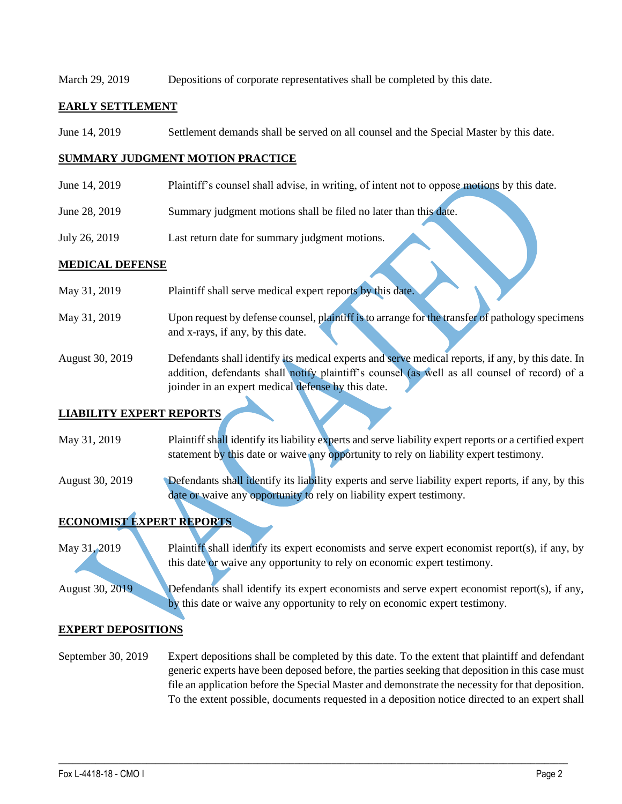### March 29, 2019 Depositions of corporate representatives shall be completed by this date.

### **EARLY SETTLEMENT**

June 14, 2019 Settlement demands shall be served on all counsel and the Special Master by this date.

### **SUMMARY JUDGMENT MOTION PRACTICE**

- June 14, 2019 Plaintiff's counsel shall advise, in writing, of intent not to oppose motions by this date.
- June 28, 2019 Summary judgment motions shall be filed no later than this date.
- July 26, 2019 Last return date for summary judgment motions.

### **MEDICAL DEFENSE**

May 31, 2019 Plaintiff shall serve medical expert reports by this date. May 31, 2019 Upon request by defense counsel, plaintiff is to arrange for the transfer of pathology specimens and x-rays, if any, by this date. August 30, 2019 Defendants shall identify its medical experts and serve medical reports, if any, by this date. In addition, defendants shall notify plaintiff's counsel (as well as all counsel of record) of a joinder in an expert medical defense by this date.

### **LIABILITY EXPERT REPORTS**

May 31, 2019 Plaintiff shall identify its liability experts and serve liability expert reports or a certified expert statement by this date or waive any opportunity to rely on liability expert testimony.

August 30, 2019 Defendants shall identify its liability experts and serve liability expert reports, if any, by this date or waive any opportunity to rely on liability expert testimony.

# **ECONOMIST EXPERT REPORTS**

May 31, 2019 Plaintiff shall identify its expert economists and serve expert economist report(s), if any, by this date or waive any opportunity to rely on economic expert testimony.

August 30, 2019 Defendants shall identify its expert economists and serve expert economist report(s), if any, by this date or waive any opportunity to rely on economic expert testimony.

### **EXPERT DEPOSITIONS**

September 30, 2019 Expert depositions shall be completed by this date. To the extent that plaintiff and defendant generic experts have been deposed before, the parties seeking that deposition in this case must file an application before the Special Master and demonstrate the necessity for that deposition. To the extent possible, documents requested in a deposition notice directed to an expert shall

 $\_$  , and the set of the set of the set of the set of the set of the set of the set of the set of the set of the set of the set of the set of the set of the set of the set of the set of the set of the set of the set of th